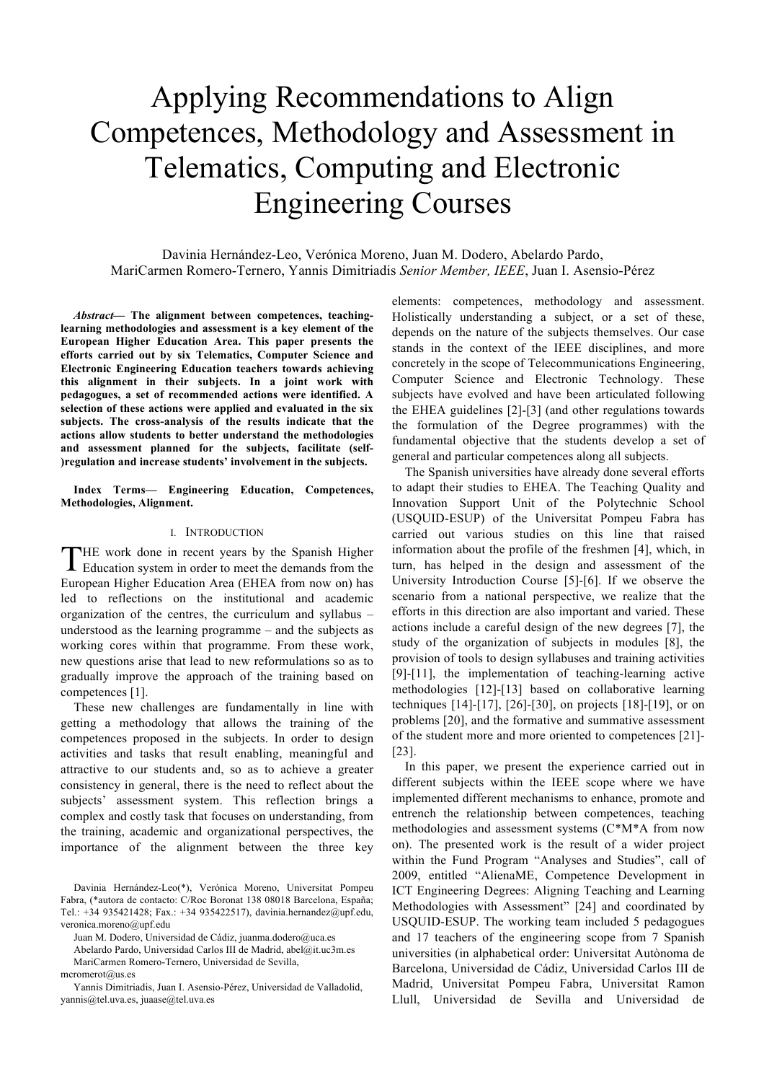# Applying Recommendations to Align Competences, Methodology and Assessment in Telematics, Computing and Electronic Engineering Courses

Davinia Hernández-Leo, Verónica Moreno, Juan M. Dodero, Abelardo Pardo, MariCarmen Romero-Ternero, Yannis Dimitriadis *Senior Member, IEEE*, Juan I. Asensio-Pérez

*Abstract***— The alignment between competences, teachinglearning methodologies and assessment is a key element of the European Higher Education Area. This paper presents the efforts carried out by six Telematics, Computer Science and Electronic Engineering Education teachers towards achieving this alignment in their subjects. In a joint work with pedagogues, a set of recommended actions were identified. A selection of these actions were applied and evaluated in the six subjects. The cross-analysis of the results indicate that the actions allow students to better understand the methodologies and assessment planned for the subjects, facilitate (self- )regulation and increase students' involvement in the subjects.**

**Index Terms— Engineering Education, Competences, Methodologies, Alignment.** 

#### I. INTRODUCTION

HE work done in recent years by the Spanish Higher THE work done in recent years by the Spanish Higher Education system in order to meet the demands from the European Higher Education Area (EHEA from now on) has led to reflections on the institutional and academic organization of the centres, the curriculum and syllabus – understood as the learning programme – and the subjects as working cores within that programme. From these work, new questions arise that lead to new reformulations so as to gradually improve the approach of the training based on competences [1].

These new challenges are fundamentally in line with getting a methodology that allows the training of the competences proposed in the subjects. In order to design activities and tasks that result enabling, meaningful and attractive to our students and, so as to achieve a greater consistency in general, there is the need to reflect about the subjects' assessment system. This reflection brings a complex and costly task that focuses on understanding, from the training, academic and organizational perspectives, the importance of the alignment between the three key

Abelardo Pardo, Universidad Carlos III de Madrid, abel@it.uc3m.es

MariCarmen Romero-Ternero, Universidad de Sevilla,

mcromerot@us.es

elements: competences, methodology and assessment. Holistically understanding a subject, or a set of these, depends on the nature of the subjects themselves. Our case stands in the context of the IEEE disciplines, and more concretely in the scope of Telecommunications Engineering, Computer Science and Electronic Technology. These subjects have evolved and have been articulated following the EHEA guidelines [2]-[3] (and other regulations towards the formulation of the Degree programmes) with the fundamental objective that the students develop a set of general and particular competences along all subjects.

The Spanish universities have already done several efforts to adapt their studies to EHEA. The Teaching Quality and Innovation Support Unit of the Polytechnic School (USQUID-ESUP) of the Universitat Pompeu Fabra has carried out various studies on this line that raised information about the profile of the freshmen [4], which, in turn, has helped in the design and assessment of the University Introduction Course [5]-[6]. If we observe the scenario from a national perspective, we realize that the efforts in this direction are also important and varied. These actions include a careful design of the new degrees [7], the study of the organization of subjects in modules [8], the provision of tools to design syllabuses and training activities [9]-[11], the implementation of teaching-learning active methodologies [12]-[13] based on collaborative learning techniques [14]-[17], [26]-[30], on projects [18]-[19], or on problems [20], and the formative and summative assessment of the student more and more oriented to competences [21]- [23].

In this paper, we present the experience carried out in different subjects within the IEEE scope where we have implemented different mechanisms to enhance, promote and entrench the relationship between competences, teaching methodologies and assessment systems (C\*M\*A from now on). The presented work is the result of a wider project within the Fund Program "Analyses and Studies", call of 2009, entitled "AlienaME, Competence Development in ICT Engineering Degrees: Aligning Teaching and Learning Methodologies with Assessment" [24] and coordinated by USQUID-ESUP. The working team included 5 pedagogues and 17 teachers of the engineering scope from 7 Spanish universities (in alphabetical order: Universitat Autònoma de Barcelona, Universidad de Cádiz, Universidad Carlos III de Madrid, Universitat Pompeu Fabra, Universitat Ramon Llull, Universidad de Sevilla and Universidad de

Davinia Hernández-Leo(\*), Verónica Moreno, Universitat Pompeu Fabra, (\*autora de contacto: C/Roc Boronat 138 08018 Barcelona, España; Tel.: +34 935421428; Fax.: +34 935422517), davinia.hernandez@upf.edu, veronica.moreno@upf.edu

Juan M. Dodero, Universidad de Cádiz, juanma.dodero@uca.es

Yannis Dimitriadis, Juan I. Asensio-Pérez, Universidad de Valladolid, yannis@tel.uva.es, juaase@tel.uva.es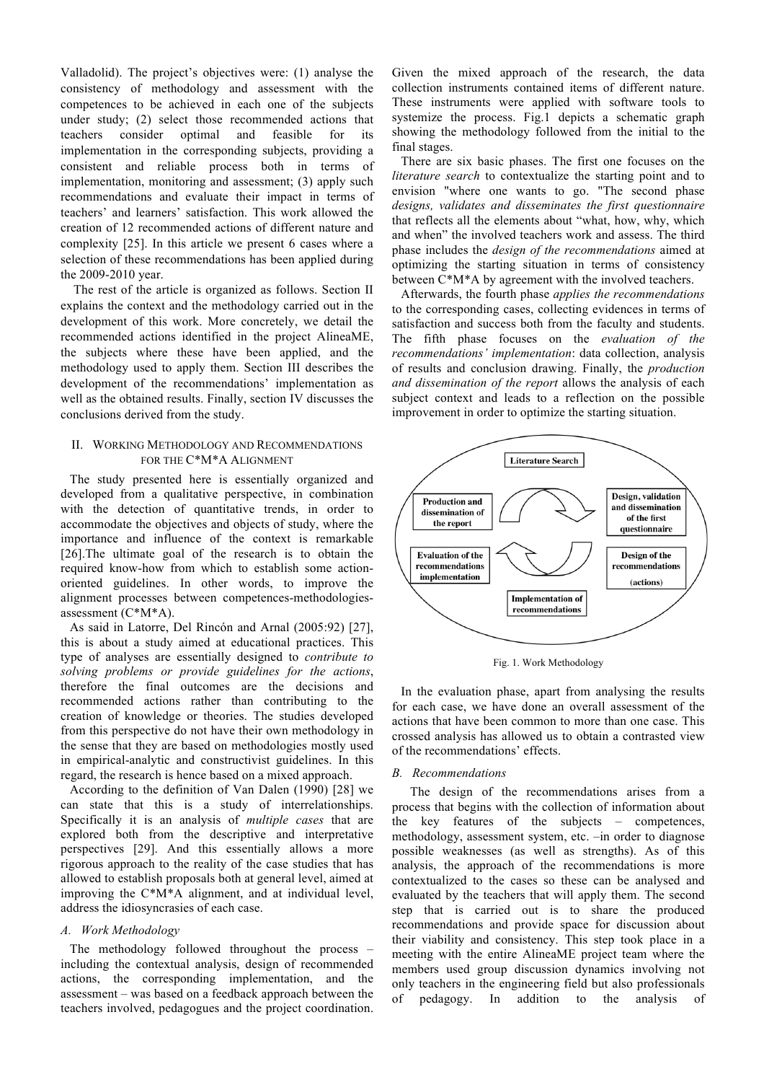Valladolid). The project's objectives were: (1) analyse the consistency of methodology and assessment with the competences to be achieved in each one of the subjects under study; (2) select those recommended actions that teachers consider optimal and feasible for its implementation in the corresponding subjects, providing a consistent and reliable process both in terms of implementation, monitoring and assessment; (3) apply such recommendations and evaluate their impact in terms of teachers' and learners' satisfaction. This work allowed the creation of 12 recommended actions of different nature and complexity [25]. In this article we present 6 cases where a selection of these recommendations has been applied during the 2009-2010 year.

The rest of the article is organized as follows. Section II explains the context and the methodology carried out in the development of this work. More concretely, we detail the recommended actions identified in the project AlineaME, the subjects where these have been applied, and the methodology used to apply them. Section III describes the development of the recommendations' implementation as well as the obtained results. Finally, section IV discusses the conclusions derived from the study.

## II. WORKING METHODOLOGY AND RECOMMENDATIONS FOR THE C\*M\*A ALIGNMENT

The study presented here is essentially organized and developed from a qualitative perspective, in combination with the detection of quantitative trends, in order to accommodate the objectives and objects of study, where the importance and influence of the context is remarkable [26].The ultimate goal of the research is to obtain the required know-how from which to establish some actionoriented guidelines. In other words, to improve the alignment processes between competences-methodologiesassessment (C\*M\*A).

As said in Latorre, Del Rincón and Arnal (2005:92) [27], this is about a study aimed at educational practices. This type of analyses are essentially designed to *contribute to solving problems or provide guidelines for the actions*, therefore the final outcomes are the decisions and recommended actions rather than contributing to the creation of knowledge or theories. The studies developed from this perspective do not have their own methodology in the sense that they are based on methodologies mostly used in empirical-analytic and constructivist guidelines. In this regard, the research is hence based on a mixed approach.

According to the definition of Van Dalen (1990) [28] we can state that this is a study of interrelationships. Specifically it is an analysis of *multiple cases* that are explored both from the descriptive and interpretative perspectives [29]. And this essentially allows a more rigorous approach to the reality of the case studies that has allowed to establish proposals both at general level, aimed at improving the C\*M\*A alignment, and at individual level, address the idiosyncrasies of each case.

## *A. Work Methodology*

The methodology followed throughout the process – including the contextual analysis, design of recommended actions, the corresponding implementation, and the assessment – was based on a feedback approach between the teachers involved, pedagogues and the project coordination.

Given the mixed approach of the research, the data collection instruments contained items of different nature. These instruments were applied with software tools to systemize the process. Fig.1 depicts a schematic graph showing the methodology followed from the initial to the final stages.

There are six basic phases. The first one focuses on the *literature search* to contextualize the starting point and to envision "where one wants to go. "The second phase *designs, validates and disseminates the first questionnaire* that reflects all the elements about "what, how, why, which and when" the involved teachers work and assess. The third phase includes the *design of the recommendations* aimed at optimizing the starting situation in terms of consistency between C\*M\*A by agreement with the involved teachers.

Afterwards, the fourth phase *applies the recommendations* to the corresponding cases, collecting evidences in terms of satisfaction and success both from the faculty and students. The fifth phase focuses on the *evaluation of the recommendations' implementation*: data collection, analysis of results and conclusion drawing. Finally, the *production and dissemination of the report* allows the analysis of each subject context and leads to a reflection on the possible improvement in order to optimize the starting situation.



Fig. 1. Work Methodology

In the evaluation phase, apart from analysing the results for each case, we have done an overall assessment of the actions that have been common to more than one case. This crossed analysis has allowed us to obtain a contrasted view of the recommendations' effects.

#### *B. Recommendations*

The design of the recommendations arises from a process that begins with the collection of information about the key features of the subjects – competences, methodology, assessment system, etc. –in order to diagnose possible weaknesses (as well as strengths). As of this analysis, the approach of the recommendations is more contextualized to the cases so these can be analysed and evaluated by the teachers that will apply them. The second step that is carried out is to share the produced recommendations and provide space for discussion about their viability and consistency. This step took place in a meeting with the entire AlineaME project team where the members used group discussion dynamics involving not only teachers in the engineering field but also professionals of pedagogy. In addition to the analysis of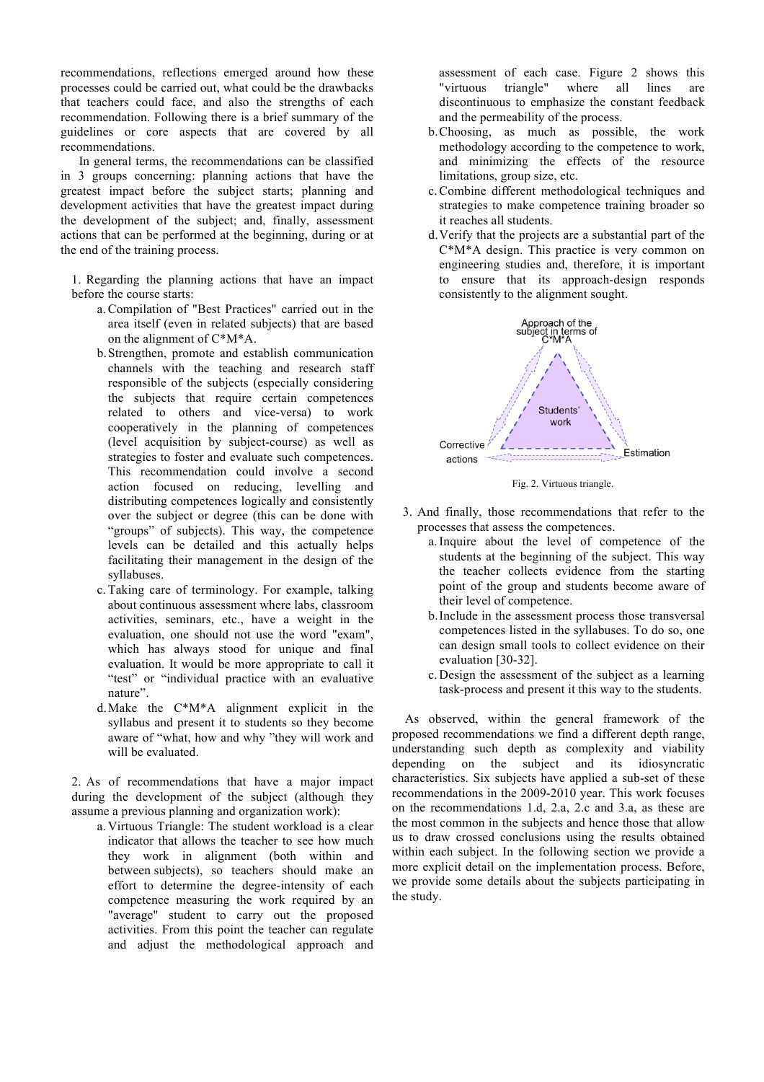recommendations, reflections emerged around how these processes could be carried out, what could be the drawbacks that teachers could face, and also the strengths of each recommendation. Following there is a brief summary of the guidelines or core aspects that are covered by all recommendations.

In general terms, the recommendations can be classified in 3 groups concerning: planning actions that have the greatest impact before the subject starts; planning and development activities that have the greatest impact during the development of the subject; and, finally, assessment actions that can be performed at the beginning, during or at the end of the training process.

1. Regarding the planning actions that have an impact before the course starts:

- a.Compilation of "Best Practices" carried out in the area itself (even in related subjects) that are based on the alignment of C\*M\*A.
- b.Strengthen, promote and establish communication channels with the teaching and research staff responsible of the subjects (especially considering the subjects that require certain competences related to others and vice-versa) to work cooperatively in the planning of competences (level acquisition by subject-course) as well as strategies to foster and evaluate such competences. This recommendation could involve a second action focused on reducing, levelling and distributing competences logically and consistently over the subject or degree (this can be done with "groups" of subjects). This way, the competence levels can be detailed and this actually helps facilitating their management in the design of the syllabuses.
- c. Taking care of terminology. For example, talking about continuous assessment where labs, classroom activities, seminars, etc., have a weight in the evaluation, one should not use the word "exam", which has always stood for unique and final evaluation. It would be more appropriate to call it "test" or "individual practice with an evaluative nature".
- d.Make the C\*M\*A alignment explicit in the syllabus and present it to students so they become aware of "what, how and why "they will work and will be evaluated.

2. As of recommendations that have a major impact during the development of the subject (although they assume a previous planning and organization work):

a. Virtuous Triangle: The student workload is a clear indicator that allows the teacher to see how much they work in alignment (both within and between subjects), so teachers should make an effort to determine the degree-intensity of each competence measuring the work required by an "average" student to carry out the proposed activities. From this point the teacher can regulate and adjust the methodological approach and assessment of each case. Figure 2 shows this "virtuous triangle" where all lines are discontinuous to emphasize the constant feedback and the permeability of the process.

- b.Choosing, as much as possible, the work methodology according to the competence to work, and minimizing the effects of the resource limitations, group size, etc.
- c.Combine different methodological techniques and strategies to make competence training broader so it reaches all students.
- d.Verify that the projects are a substantial part of the C\*M\*A design. This practice is very common on engineering studies and, therefore, it is important to ensure that its approach-design responds consistently to the alignment sought.



Fig. 2. Virtuous triangle.

- 3. And finally, those recommendations that refer to the processes that assess the competences.
	- a.Inquire about the level of competence of the students at the beginning of the subject. This way the teacher collects evidence from the starting point of the group and students become aware of their level of competence.
	- b.Include in the assessment process those transversal competences listed in the syllabuses. To do so, one can design small tools to collect evidence on their evaluation [30-32].
	- c. Design the assessment of the subject as a learning task-process and present it this way to the students.

As observed, within the general framework of the proposed recommendations we find a different depth range, understanding such depth as complexity and viability depending on the subject and its idiosyncratic characteristics. Six subjects have applied a sub-set of these recommendations in the 2009-2010 year. This work focuses on the recommendations 1.d, 2.a, 2.c and 3.a, as these are the most common in the subjects and hence those that allow us to draw crossed conclusions using the results obtained within each subject. In the following section we provide a more explicit detail on the implementation process. Before, we provide some details about the subjects participating in the study.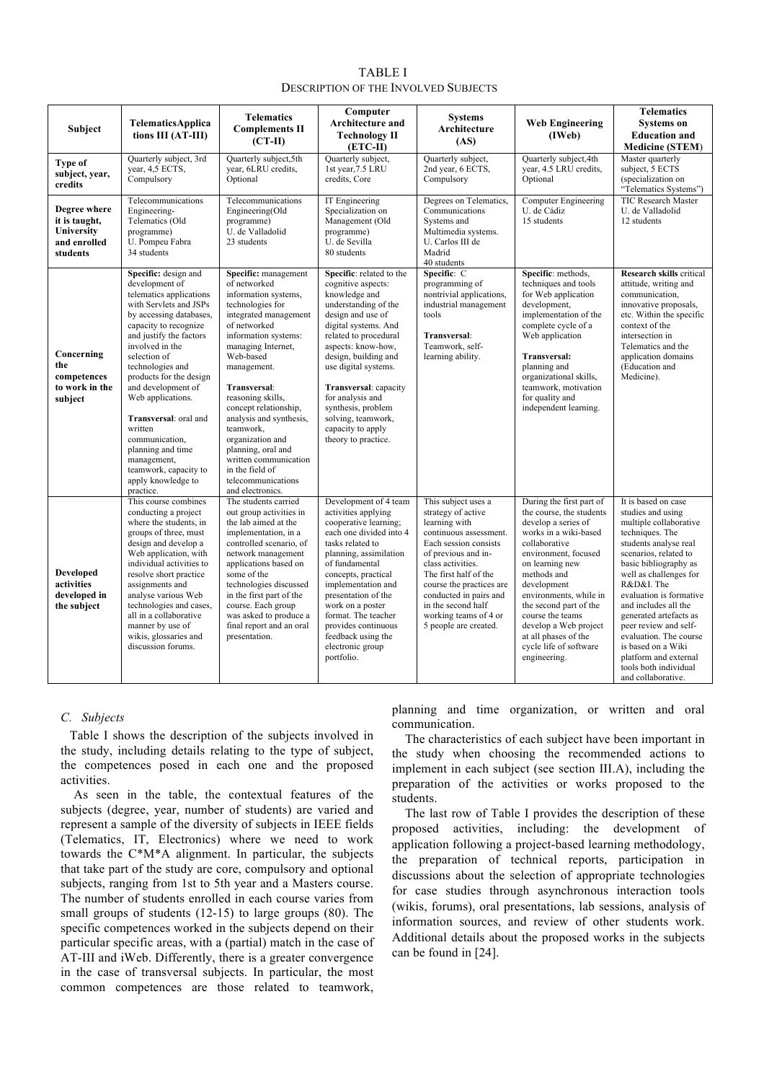# TABLE I DESCRIPTION OF THE INVOLVED SUBJECTS

| <b>Subject</b>                                                          | <b>TelematicsApplica</b><br>tions III (AT-III)                                                                                                                                                                                                                                                                                                                                                                                                                | <b>Telematics</b><br><b>Complements II</b><br>$(CT-II)$                                                                                                                                                                                                                                                                                                                                                                                   | Computer<br><b>Architecture and</b><br><b>Technology II</b><br>$(ETC-II)$                                                                                                                                                                                                                                                                                                | <b>Systems</b><br>Architecture<br>(AS)                                                                                                                                                                                                                                                                           | <b>Web Engineering</b><br>(IWeb)                                                                                                                                                                                                                                                                                                                                  | <b>Telematics</b><br><b>Systems</b> on<br><b>Education and</b><br><b>Medicine (STEM)</b>                                                                                                                                                                                                                                                                                                                                              |
|-------------------------------------------------------------------------|---------------------------------------------------------------------------------------------------------------------------------------------------------------------------------------------------------------------------------------------------------------------------------------------------------------------------------------------------------------------------------------------------------------------------------------------------------------|-------------------------------------------------------------------------------------------------------------------------------------------------------------------------------------------------------------------------------------------------------------------------------------------------------------------------------------------------------------------------------------------------------------------------------------------|--------------------------------------------------------------------------------------------------------------------------------------------------------------------------------------------------------------------------------------------------------------------------------------------------------------------------------------------------------------------------|------------------------------------------------------------------------------------------------------------------------------------------------------------------------------------------------------------------------------------------------------------------------------------------------------------------|-------------------------------------------------------------------------------------------------------------------------------------------------------------------------------------------------------------------------------------------------------------------------------------------------------------------------------------------------------------------|---------------------------------------------------------------------------------------------------------------------------------------------------------------------------------------------------------------------------------------------------------------------------------------------------------------------------------------------------------------------------------------------------------------------------------------|
| Type of<br>subject, year,<br>credits                                    | Quarterly subject, 3rd<br>year, 4,5 ECTS,<br>Compulsory                                                                                                                                                                                                                                                                                                                                                                                                       | Quarterly subject, 5th<br>year, 6LRU credits,<br>Optional                                                                                                                                                                                                                                                                                                                                                                                 | Quarterly subject,<br>1st year, 7.5 LRU<br>credits, Core                                                                                                                                                                                                                                                                                                                 | Quarterly subject,<br>2nd year, 6 ECTS,<br>Compulsory                                                                                                                                                                                                                                                            | Quarterly subject, 4th<br>year, 4.5 LRU credits,<br>Optional                                                                                                                                                                                                                                                                                                      | Master quarterly<br>subject, 5 ECTS<br>(specialization on<br>"Telematics Systems")                                                                                                                                                                                                                                                                                                                                                    |
| Degree where<br>it is taught.<br>University<br>and enrolled<br>students | Telecommunications<br>Engineering-<br>Telematics (Old<br>programme)<br>U. Pompeu Fabra<br>34 students                                                                                                                                                                                                                                                                                                                                                         | Telecommunications<br>Engineering(Old<br>programme)<br>U. de Valladolid<br>23 students                                                                                                                                                                                                                                                                                                                                                    | IT Engineering<br>Specialization on<br>Management (Old<br>programme)<br>U. de Sevilla<br>80 students                                                                                                                                                                                                                                                                     | Degrees on Telematics,<br>Communications<br>Systems and<br>Multimedia systems.<br>U. Carlos III de<br>Madrid<br>40 students                                                                                                                                                                                      | Computer Engineering<br>U. de Cádiz<br>15 students                                                                                                                                                                                                                                                                                                                | TIC Research Master<br>U. de Valladolid<br>12 students                                                                                                                                                                                                                                                                                                                                                                                |
| Concerning<br>the<br>competences<br>to work in the<br>subject           | Specific: design and<br>development of<br>telematics applications<br>with Servlets and JSPs<br>by accessing databases,<br>capacity to recognize<br>and justify the factors<br>involved in the<br>selection of<br>technologies and<br>products for the design<br>and development of<br>Web applications.<br>Transversal: oral and<br>written<br>communication.<br>planning and time<br>management,<br>teamwork, capacity to<br>apply knowledge to<br>practice. | Specific: management<br>of networked<br>information systems,<br>technologies for<br>integrated management<br>of networked<br>information systems:<br>managing Internet,<br>Web-based<br>management.<br>Transversal:<br>reasoning skills,<br>concept relationship.<br>analysis and synthesis.<br>teamwork.<br>organization and<br>planning, oral and<br>written communication<br>in the field of<br>telecommunications<br>and electronics. | Specific: related to the<br>cognitive aspects:<br>knowledge and<br>understanding of the<br>design and use of<br>digital systems. And<br>related to procedural<br>aspects: know-how,<br>design, building and<br>use digital systems.<br>Transversal: capacity<br>for analysis and<br>synthesis, problem<br>solving, teamwork,<br>capacity to apply<br>theory to practice. | Specific: C<br>programming of<br>nontrivial applications,<br>industrial management<br>tools<br>Transversal:<br>Teamwork, self-<br>learning ability.                                                                                                                                                              | Specific: methods,<br>techniques and tools<br>for Web application<br>development,<br>implementation of the<br>complete cycle of a<br>Web application<br><b>Transversal:</b><br>planning and<br>organizational skills,<br>teamwork, motivation<br>for quality and<br>independent learning.                                                                         | <b>Research skills critical</b><br>attitude, writing and<br>communication,<br>innovative proposals.<br>etc. Within the specific<br>context of the<br>intersection in<br>Telematics and the<br>application domains<br>(Education and<br>Medicine).                                                                                                                                                                                     |
| <b>Developed</b><br>activities<br>developed in<br>the subject           | This course combines<br>conducting a project<br>where the students, in<br>groups of three, must<br>design and develop a<br>Web application, with<br>individual activities to<br>resolve short practice<br>assignments and<br>analyse various Web<br>technologies and cases,<br>all in a collaborative<br>manner by use of<br>wikis, glossaries and<br>discussion forums.                                                                                      | The students carried<br>out group activities in<br>the lab aimed at the<br>implementation, in a<br>controlled scenario, of<br>network management<br>applications based on<br>some of the<br>technologies discussed<br>in the first part of the<br>course. Each group<br>was asked to produce a<br>final report and an oral<br>presentation.                                                                                               | Development of 4 team<br>activities applying<br>cooperative learning;<br>each one divided into 4<br>tasks related to<br>planning, assimilation<br>of fundamental<br>concepts, practical<br>implementation and<br>presentation of the<br>work on a poster<br>format. The teacher<br>provides continuous<br>feedback using the<br>electronic group<br>portfolio.           | This subject uses a<br>strategy of active<br>learning with<br>continuous assessment.<br>Each session consists<br>of previous and in-<br>class activities.<br>The first half of the<br>course the practices are<br>conducted in pairs and<br>in the second half<br>working teams of 4 or<br>5 people are created. | During the first part of<br>the course, the students<br>develop a series of<br>works in a wiki-based<br>collaborative<br>environment, focused<br>on learning new<br>methods and<br>development<br>environments, while in<br>the second part of the<br>course the teams<br>develop a Web project<br>at all phases of the<br>cycle life of software<br>engineering. | It is based on case<br>studies and using<br>multiple collaborative<br>techniques. The<br>students analyse real<br>scenarios, related to<br>basic bibliography as<br>well as challenges for<br>R&D&L The<br>evaluation is formative<br>and includes all the<br>generated artefacts as<br>peer review and self-<br>evaluation. The course<br>is based on a Wiki<br>platform and external<br>tools both individual<br>and collaborative. |

## *C. Subjects*

Table I shows the description of the subjects involved in the study, including details relating to the type of subject, the competences posed in each one and the proposed activities.

As seen in the table, the contextual features of the subjects (degree, year, number of students) are varied and represent a sample of the diversity of subjects in IEEE fields (Telematics, IT, Electronics) where we need to work towards the C\*M\*A alignment. In particular, the subjects that take part of the study are core, compulsory and optional subjects, ranging from 1st to 5th year and a Masters course. The number of students enrolled in each course varies from small groups of students (12-15) to large groups (80). The specific competences worked in the subjects depend on their particular specific areas, with a (partial) match in the case of AT-III and iWeb. Differently, there is a greater convergence in the case of transversal subjects. In particular, the most common competences are those related to teamwork, planning and time organization, or written and oral communication.

The characteristics of each subject have been important in the study when choosing the recommended actions to implement in each subject (see section III.A), including the preparation of the activities or works proposed to the students.

The last row of Table I provides the description of these proposed activities, including: the development of application following a project-based learning methodology, the preparation of technical reports, participation in discussions about the selection of appropriate technologies for case studies through asynchronous interaction tools (wikis, forums), oral presentations, lab sessions, analysis of information sources, and review of other students work. Additional details about the proposed works in the subjects can be found in [24].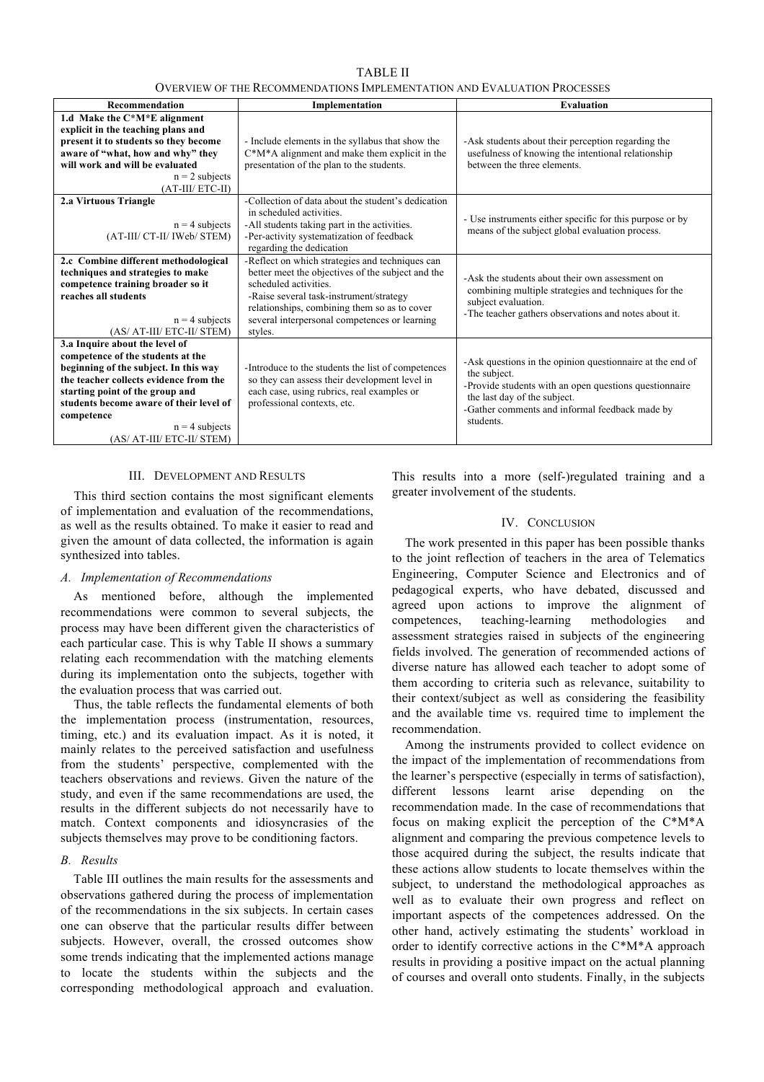## TABLE II OVERVIEW OF THE RECOMMENDATIONS IMPLEMENTATION AND EVALUATION PROCESSES

| <b>Recommendation</b>                                                                                                                                                                                                                                                                                | Implementation                                                                                                                                                                                                                                                                       | <b>Evaluation</b>                                                                                                                                                                                                                  |
|------------------------------------------------------------------------------------------------------------------------------------------------------------------------------------------------------------------------------------------------------------------------------------------------------|--------------------------------------------------------------------------------------------------------------------------------------------------------------------------------------------------------------------------------------------------------------------------------------|------------------------------------------------------------------------------------------------------------------------------------------------------------------------------------------------------------------------------------|
| 1.d Make the C*M*E alignment<br>explicit in the teaching plans and<br>present it to students so they become<br>aware of "what, how and why" they<br>will work and will be evaluated<br>$n = 2$ subjects<br>$(AT-III/ETC-II)$                                                                         | - Include elements in the syllabus that show the<br>C*M*A alignment and make them explicit in the<br>presentation of the plan to the students.                                                                                                                                       | -Ask students about their perception regarding the<br>usefulness of knowing the intentional relationship<br>between the three elements                                                                                             |
| 2.a Virtuous Triangle<br>$n = 4$ subjects<br>(AT-III/ CT-II/ IWeb/ STEM)                                                                                                                                                                                                                             | -Collection of data about the student's dedication<br>in scheduled activities.<br>-All students taking part in the activities.<br>-Per-activity systematization of feedback<br>regarding the dedication                                                                              | - Use instruments either specific for this purpose or by<br>means of the subject global evaluation process.                                                                                                                        |
| 2.c Combine different methodological<br>techniques and strategies to make<br>competence training broader so it<br>reaches all students<br>$n = 4$ subjects<br>(AS/ AT-III/ ETC-II/ STEM)                                                                                                             | -Reflect on which strategies and techniques can<br>better meet the objectives of the subject and the<br>scheduled activities.<br>-Raise several task-instrument/strategy<br>relationships, combining them so as to cover<br>several interpersonal competences or learning<br>styles. | -Ask the students about their own assessment on<br>combining multiple strategies and techniques for the<br>subject evaluation.<br>-The teacher gathers observations and notes about it.                                            |
| 3.a Inquire about the level of<br>competence of the students at the<br>beginning of the subject. In this way<br>the teacher collects evidence from the<br>starting point of the group and<br>students become aware of their level of<br>competence<br>$n = 4$ subjects<br>(AS/ AT-III/ ETC-II/ STEM) | -Introduce to the students the list of competences<br>so they can assess their development level in<br>each case, using rubrics, real examples or<br>professional contexts, etc.                                                                                                     | -Ask questions in the opinion questionnaire at the end of<br>the subject.<br>-Provide students with an open questions questionnaire<br>the last day of the subject.<br>-Gather comments and informal feedback made by<br>students. |

#### III. DEVELOPMENT AND RESULTS

This third section contains the most significant elements of implementation and evaluation of the recommendations, as well as the results obtained. To make it easier to read and given the amount of data collected, the information is again synthesized into tables.

#### *A. Implementation of Recommendations*

As mentioned before, although the implemented recommendations were common to several subjects, the process may have been different given the characteristics of each particular case. This is why Table II shows a summary relating each recommendation with the matching elements during its implementation onto the subjects, together with the evaluation process that was carried out.

Thus, the table reflects the fundamental elements of both the implementation process (instrumentation, resources, timing, etc.) and its evaluation impact. As it is noted, it mainly relates to the perceived satisfaction and usefulness from the students' perspective, complemented with the teachers observations and reviews. Given the nature of the study, and even if the same recommendations are used, the results in the different subjects do not necessarily have to match. Context components and idiosyncrasies of the subjects themselves may prove to be conditioning factors.

#### *B. Results*

Table III outlines the main results for the assessments and observations gathered during the process of implementation of the recommendations in the six subjects. In certain cases one can observe that the particular results differ between subjects. However, overall, the crossed outcomes show some trends indicating that the implemented actions manage to locate the students within the subjects and the corresponding methodological approach and evaluation.

This results into a more (self-)regulated training and a greater involvement of the students.

#### IV. CONCLUSION

The work presented in this paper has been possible thanks to the joint reflection of teachers in the area of Telematics Engineering, Computer Science and Electronics and of pedagogical experts, who have debated, discussed and agreed upon actions to improve the alignment of competences, teaching-learning methodologies and assessment strategies raised in subjects of the engineering fields involved. The generation of recommended actions of diverse nature has allowed each teacher to adopt some of them according to criteria such as relevance, suitability to their context/subject as well as considering the feasibility and the available time vs. required time to implement the recommendation.

Among the instruments provided to collect evidence on the impact of the implementation of recommendations from the learner's perspective (especially in terms of satisfaction), different lessons learnt arise depending on the recommendation made. In the case of recommendations that focus on making explicit the perception of the C\*M\*A alignment and comparing the previous competence levels to those acquired during the subject, the results indicate that these actions allow students to locate themselves within the subject, to understand the methodological approaches as well as to evaluate their own progress and reflect on important aspects of the competences addressed. On the other hand, actively estimating the students' workload in order to identify corrective actions in the C\*M\*A approach results in providing a positive impact on the actual planning of courses and overall onto students. Finally, in the subjects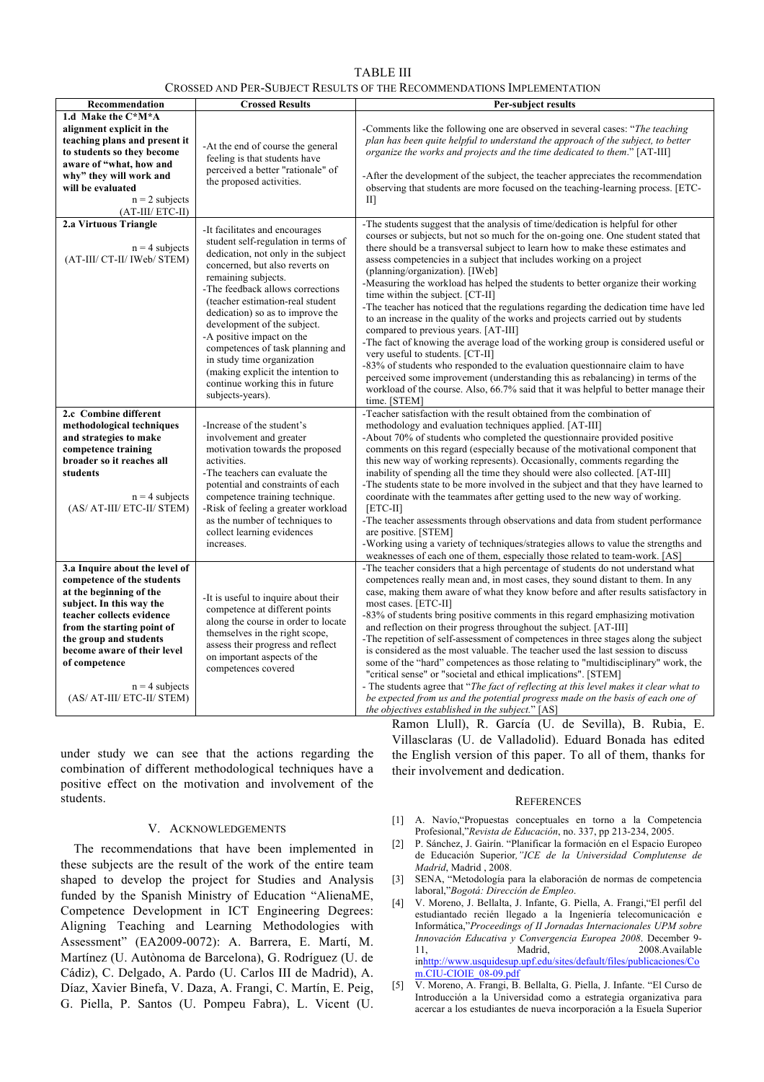# TABLE III CROSSED AND PER-SUBJECT RESULTS OF THE RECOMMENDATIONS IMPLEMENTATION

| Recommendation                                                                                                                                                                                                                                                                                             | <b>Crossed Results</b>                                                                                                                                                                                                                                                                                                                                                                                                                                                                                      | Per-subject results                                                                                                                                                                                                                                                                                                                                                                                                                                                                                                                                                                                                                                                                                                                                                                                                                                                                                                                                                                                                                                                                                                                                                                                                                                                                                                                                                                                          |
|------------------------------------------------------------------------------------------------------------------------------------------------------------------------------------------------------------------------------------------------------------------------------------------------------------|-------------------------------------------------------------------------------------------------------------------------------------------------------------------------------------------------------------------------------------------------------------------------------------------------------------------------------------------------------------------------------------------------------------------------------------------------------------------------------------------------------------|--------------------------------------------------------------------------------------------------------------------------------------------------------------------------------------------------------------------------------------------------------------------------------------------------------------------------------------------------------------------------------------------------------------------------------------------------------------------------------------------------------------------------------------------------------------------------------------------------------------------------------------------------------------------------------------------------------------------------------------------------------------------------------------------------------------------------------------------------------------------------------------------------------------------------------------------------------------------------------------------------------------------------------------------------------------------------------------------------------------------------------------------------------------------------------------------------------------------------------------------------------------------------------------------------------------------------------------------------------------------------------------------------------------|
| 1.d Make the C*M*A<br>alignment explicit in the<br>teaching plans and present it<br>to students so they become<br>aware of "what, how and<br>why" they will work and<br>will be evaluated<br>$n = 2$ subjects<br>$(AT-III/ETC-II)$                                                                         | -At the end of course the general<br>feeling is that students have<br>perceived a better "rationale" of<br>the proposed activities.                                                                                                                                                                                                                                                                                                                                                                         | -Comments like the following one are observed in several cases: "The teaching<br>plan has been quite helpful to understand the approach of the subject, to better<br>organize the works and projects and the time dedicated to them." [AT-III]<br>-After the development of the subject, the teacher appreciates the recommendation<br>observing that students are more focused on the teaching-learning process. [ETC-<br>Ш                                                                                                                                                                                                                                                                                                                                                                                                                                                                                                                                                                                                                                                                                                                                                                                                                                                                                                                                                                                 |
| 2.a Virtuous Triangle<br>$n = 4$ subjects<br>(AT-III/ CT-II/ IWeb/ STEM)                                                                                                                                                                                                                                   | -It facilitates and encourages<br>student self-regulation in terms of<br>dedication, not only in the subject<br>concerned, but also reverts on<br>remaining subjects.<br>-The feedback allows corrections<br>(teacher estimation-real student<br>dedication) so as to improve the<br>development of the subject.<br>-A positive impact on the<br>competences of task planning and<br>in study time organization<br>(making explicit the intention to<br>continue working this in future<br>subjects-years). | -The students suggest that the analysis of time/dedication is helpful for other<br>courses or subjects, but not so much for the on-going one. One student stated that<br>there should be a transversal subject to learn how to make these estimates and<br>assess competencies in a subject that includes working on a project<br>(planning/organization). [IWeb]<br>-Measuring the workload has helped the students to better organize their working<br>time within the subject. [CT-II]<br>-The teacher has noticed that the regulations regarding the dedication time have led<br>to an increase in the quality of the works and projects carried out by students<br>compared to previous years. [AT-III]<br>-The fact of knowing the average load of the working group is considered useful or<br>very useful to students. [CT-II]<br>-83% of students who responded to the evaluation questionnaire claim to have<br>perceived some improvement (understanding this as rebalancing) in terms of the<br>workload of the course. Also, 66.7% said that it was helpful to better manage their<br>time. [STEM]                                                                                                                                                                                                                                                                                              |
| 2.c Combine different<br>methodological techniques<br>and strategies to make<br>competence training<br>broader so it reaches all<br>students<br>$n = 4$ subjects<br>(AS/ AT-III/ ETC-II/ STEM)                                                                                                             | -Increase of the student's<br>involvement and greater<br>motivation towards the proposed<br>activities.<br>-The teachers can evaluate the<br>potential and constraints of each<br>competence training technique.<br>-Risk of feeling a greater workload<br>as the number of techniques to<br>collect learning evidences<br>increases.                                                                                                                                                                       | -Teacher satisfaction with the result obtained from the combination of<br>methodology and evaluation techniques applied. [AT-III]<br>-About 70% of students who completed the questionnaire provided positive<br>comments on this regard (especially because of the motivational component that<br>this new way of working represents). Occasionally, comments regarding the<br>inability of spending all the time they should were also collected. [AT-III]<br>-The students state to be more involved in the subject and that they have learned to<br>coordinate with the teammates after getting used to the new way of working.<br>$[ETC-II]$<br>-The teacher assessments through observations and data from student performance<br>are positive. [STEM]<br>-Working using a variety of techniques/strategies allows to value the strengths and<br>weaknesses of each one of them, especially those related to team-work. [AS]                                                                                                                                                                                                                                                                                                                                                                                                                                                                           |
| 3.a Inquire about the level of<br>competence of the students<br>at the beginning of the<br>subject. In this way the<br>teacher collects evidence<br>from the starting point of<br>the group and students<br>become aware of their level<br>of competence<br>$n = 4$ subjects<br>(AS/ AT-III/ ETC-II/ STEM) | -It is useful to inquire about their<br>competence at different points<br>along the course in order to locate<br>themselves in the right scope,<br>assess their progress and reflect<br>on important aspects of the<br>competences covered                                                                                                                                                                                                                                                                  | -The teacher considers that a high percentage of students do not understand what<br>competences really mean and, in most cases, they sound distant to them. In any<br>case, making them aware of what they know before and after results satisfactory in<br>most cases. [ETC-II]<br>-83% of students bring positive comments in this regard emphasizing motivation<br>and reflection on their progress throughout the subject. [AT-III]<br>-The repetition of self-assessment of competences in three stages along the subject<br>is considered as the most valuable. The teacher used the last session to discuss<br>some of the "hard" competences as those relating to "multidisciplinary" work, the<br>"critical sense" or "societal and ethical implications". [STEM]<br>- The students agree that "The fact of reflecting at this level makes it clear what to<br>be expected from us and the potential progress made on the basis of each one of<br>the objectives established in the subject." [AS]<br>$\mathbf{D}_{\text{a}}$ $\mathbf{D}_{\text{b}}$ $\mathbf{D}_{\text{b}}$ $\mathbf{D}_{\text{b}}$ $\mathbf{C}_{\text{a}}$ $\mathbf{C}_{\text{b}}$ $\mathbf{D}_{\text{b}}$ $\mathbf{D}_{\text{b}}$ $\mathbf{D}_{\text{b}}$ $\mathbf{D}_{\text{b}}$ $\mathbf{D}_{\text{b}}$ $\mathbf{D}_{\text{b}}$ $\mathbf{D}_{\text{b}}$ $\mathbf{D}_{\text{b}}$ $\mathbf{D}_{\text{b}}$ $\mathbf{D}_{\text{b$ |

under study we can see that the actions regarding the combination of different methodological techniques have a positive effect on the motivation and involvement of the students.

#### V. ACKNOWLEDGEMENTS

The recommendations that have been implemented in these subjects are the result of the work of the entire team shaped to develop the project for Studies and Analysis funded by the Spanish Ministry of Education "AlienaME, Competence Development in ICT Engineering Degrees: Aligning Teaching and Learning Methodologies with Assessment" (EA2009-0072): A. Barrera, E. Martí, M. Martínez (U. Autònoma de Barcelona), G. Rodríguez (U. de Cádiz), C. Delgado, A. Pardo (U. Carlos III de Madrid), A. Díaz, Xavier Binefa, V. Daza, A. Frangi, C. Martín, E. Peig, G. Piella, P. Santos (U. Pompeu Fabra), L. Vicent (U.

Ramon Llull), R. García (U. de Sevilla), B. Rubia, E. Villasclaras (U. de Valladolid). Eduard Bonada has edited the English version of this paper. To all of them, thanks for their involvement and dedication.

#### **REFERENCES**

- [1] A. Navío,"Propuestas conceptuales en torno a la Competencia Profesional,"*Revista de Educación*, no. 337, pp 213-234, 2005.
- [2] P. Sánchez, J. Gairín. "Planificar la formación en el Espacio Europeo de Educación Superior*,"ICE de la Universidad Complutense de Madrid*, Madrid , 2008.
- [3] SENA, "Metodología para la elaboración de normas de competencia laboral,"*Bogotá: Dirección de Empleo*.
- [4] V. Moreno, J. Bellalta, J. Infante, G. Piella, A. Frangi,"El perfil del estudiantado recién llegado a la Ingeniería telecomunicación e Informática,"*Proceedings of II Jornadas Internacionales UPM sobre Innovación Educativa y Convergencia Europea 2008*. December 9- 11 Madrid Madrid, 2008 Available inhttp://www.usquidesup.upf.edu/sites/default/files/publicaciones/Co m.CIU-CIOIE\_08-09.pdf
- [5] V. Moreno, A. Frangi, B. Bellalta, G. Piella, J. Infante. "El Curso de Introducción a la Universidad como a estrategia organizativa para acercar a los estudiantes de nueva incorporación a la Esuela Superior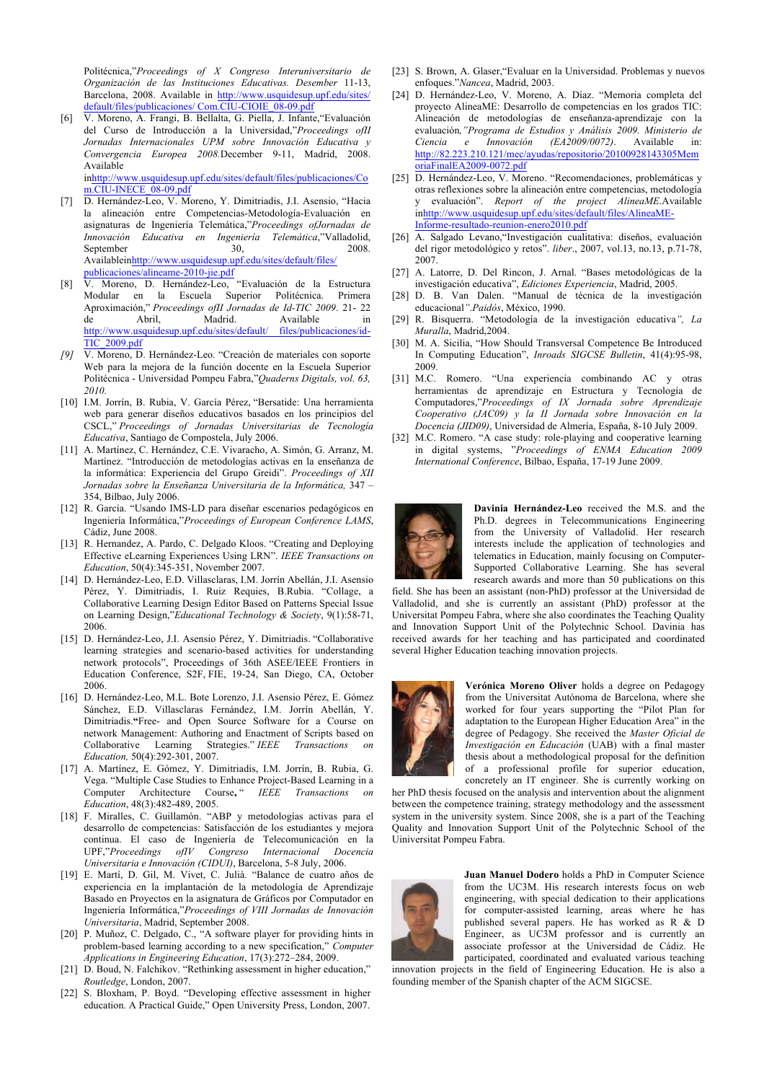Politécnica,"*Proceedings of X Congreso Interuniversitario de Organización de las Instituciones Educativas. Desember* 11-13, Barcelona, 2008. Available in http://www.usquidesup.upf.edu/sites/ default/files/publicaciones/ Com.CIU-CIOIE\_08-09.pdf

[6] V. Moreno, A. Frangi, B. Bellalta, G. Piella, J. Infante,"Evaluación del Curso de Introducción a la Universidad,"*Proceedings ofII Jornadas Internacionales UPM sobre Innovación Educativa y Convergencia Europea 2008.*December 9-11, Madrid, 2008. Available inhttp://www.usquidesup.upf.edu/sites/default/files/publicaciones/Co

m.CIU-INECE\_08-09.pdf

- [7] D. Hernández-Leo, V. Moreno, Y. Dimitriadis, J.I. Asensio, "Hacia la alineación entre Competencias-Metodología-Evaluación en asignaturas de Ingeniería Telemática,"*Proceedings ofJornadas de Innovación Educativa en Ingeniería Telemática*,"Valladolid, September 30, 2008. Availableinhttp://www.usquidesup.upf.edu/sites/default/files/ publicaciones/alineame-2010-jie.pdf
- [8] V. Moreno, D. Hernández-Leo, "Evaluación de la Estructura Modular en la Escuela Superior Politécnica. Primera Aproximación," *Proceedings ofII Jornadas de Id-TIC 2009*. 21- 22 de Abril, Madrid. Available in http://www.usquidesup.upf.edu/sites/default/ files/publicaciones/idhttp://www.usquidesup.upf.edu/sites/default/ TIC\_2009.pdf
- *[9]* V. Moreno, D. Hernández-Leo. "Creación de materiales con soporte Web para la mejora de la función docente en la Escuela Superior Politécnica - Universidad Pompeu Fabra,"*Quaderns Digitals, vol. 63, 2010.*
- [10] I.M. Jorrín, B. Rubia, V. García Pérez, "Bersatide: Una herramienta web para generar diseños educativos basados en los principios del CSCL," *Proceedings of Jornadas Universitarias de Tecnología Educativa*, Santiago de Compostela, July 2006.
- [11] A. Martínez, C. Hernández, C.E. Vivaracho, A. Simón, G. Arranz, M. Martínez. "Introducción de metodologías activas en la enseñanza de la informática: Experiencia del Grupo Greidi". *Proceedings of XII Jornadas sobre la Enseñanza Universitaria de la Informática,* 347 – 354, Bilbao, July 2006.
- [12] R. García. "Usando IMS-LD para diseñar escenarios pedagógicos en Ingeniería Informática,"*Proceedings of European Conference LAMS*, Cádiz, June 2008.
- [13] R. Hernandez, A. Pardo, C. Delgado Kloos. "Creating and Deploying Effective eLearning Experiences Using LRN". *IEEE Transactions on Education*, 50(4):345-351, November 2007.
- [14] D. Hernández-Leo, E.D. Villasclaras, I.M. Jorrín Abellán, J.I. Asensio Pérez, Y. Dimitriadis, I. Ruiz Requies, B.Rubia. "Collage, a Collaborative Learning Design Editor Based on Patterns Special Issue on Learning Design,"*Educational Technology & Society*, 9(1):58-71, 2006.
- [15] D. Hernández-Leo, J.I. Asensio Pérez, Y. Dimitriadis. "Collaborative learning strategies and scenario-based activities for understanding network protocols", Proceedings of 36th ASEE/IEEE Frontiers in Education Conference, S2F, FIE, 19-24, San Diego, CA, October 2006.
- [16] D. Hernández-Leo, M.L. Bote Lorenzo, J.I. Asensio Pérez, E. Gómez Sánchez, E.D. Villasclaras Fernández, I.M. Jorrín Abellán, Y. Dimitriadis.**"**Free- and Open Source Software for a Course on network Management: Authoring and Enactment of Scripts based on Collaborative Learning Strategies." *IEEE Transactions Education,* 50(4):292-301, 2007.
- [17] A. Martínez, E. Gómez, Y. Dimitriadis, I.M. Jorrín, B. Rubia, G. Vega. "Multiple Case Studies to Enhance Project-Based Learning in a Computer Architecture Course, " *IEEE Transactions Education*, 48(3):482-489, 2005.
- [18] F. Miralles, C. Guillamón. "ABP y metodologías activas para el desarrollo de competencias: Satisfacción de los estudiantes y mejora continua. El caso de Ingeniería de Telecomunicación en la<br>UPF,"Proceedings of IV Congreso Internacional Docencia UPF,"*Proceedings ofIV Congreso Internacional Docencia Universitaria e Innovación (CIDUI)*, Barcelona, 5-8 July, 2006.
- [19] E. Martí, D. Gil, M. Vivet, C. Julià. "Balance de cuatro años de experiencia en la implantación de la metodología de Aprendizaje Basado en Proyectos en la asignatura de Gráficos por Computador en Ingeniería Informática,"*Proceedings of VIII Jornadas de Innovación Universitaria*, Madrid, September 2008.
- [20] P. Muñoz, C. Delgado, C., "A software player for providing hints in problem-based learning according to a new specification," *Computer Applications in Engineering Education*, 17(3):272–284, 2009.
- [21] D. Boud, N. Falchikov. "Rethinking assessment in higher education," *Routledge*, London, 2007.
- [22] S. Bloxham, P. Boyd. "Developing effective assessment in higher education. A Practical Guide," Open University Press, London, 2007.
- [23] S. Brown, A. Glaser,"Evaluar en la Universidad. Problemas y nuevos enfoques."*Nancea*, Madrid, 2003.
- [24] D. Hernández-Leo, V. Moreno, A. Díaz. "Memoria completa del proyecto AlineaME: Desarrollo de competencias en los grados TIC: Alineación de metodologías de enseñanza-aprendizaje con la evaluación*,"Programa de Estudios y Análisis 2009. Ministerio de Ciencia e Innovación (EA2009/0072)*. Available in: http://82.223.210.121/mec/ayudas/repositorio/20100928143305Mem oriaFinalEA2009-0072.pdf
- [25] D. Hernández-Leo, V. Moreno. "Recomendaciones, problemáticas y otras reflexiones sobre la alineación entre competencias, metodología y evaluación". *Report of the project AlineaME*.Available inhttp://www.usquidesup.upf.edu/sites/default/files/AlineaME-Informe-resultado-reunion-enero2010.pdf
- [26] A. Salgado Levano,"Investigación cualitativa: diseños, evaluación del rigor metodológico y retos". *liber*., 2007, vol.13, no.13, p.71-78, 2007.
- [27] A. Latorre, D. Del Rincon, J. Arnal. "Bases metodológicas de la investigación educativa", *Ediciones Experiencia*, Madrid, 2005.
- [28] D. B. Van Dalen. "Manual de técnica de la investigación educacional*"*.*Paidós*, México, 1990.
- [29] R. Bisquerra. "Metodología de la investigación educativa*", La Muralla*, Madrid,2004.
- [30] M. A. Sicilia, "How Should Transversal Competence Be Introduced In Computing Education", *Inroads SIGCSE Bulletin*, 41(4):95-98, 2009.
- [31] M.C. Romero. "Una experiencia combinando AC y otras herramientas de aprendizaje en Estructura y Tecnología de Computadores,"*Proceedings of IX Jornada sobre Aprendizaje Cooperativo (JAC09) y la II Jornada sobre Innovación en la Docencia (JID09)*, Universidad de Almería, España, 8-10 July 2009.
- [32] M.C. Romero. "A case study: role-playing and cooperative learning in digital systems, "*Proceedings of ENMA Education 2009 International Conference*, Bilbao, España, 17-19 June 2009.



**Davinia Hernández-Leo** received the M.S. and the Ph.D. degrees in Telecommunications Engineering from the University of Valladolid. Her research interests include the application of technologies and telematics in Education, mainly focusing on Computer-Supported Collaborative Learning. She has several research awards and more than 50 publications on this

field. She has been an assistant (non-PhD) professor at the Universidad de Valladolid, and she is currently an assistant (PhD) professor at the Universitat Pompeu Fabra, where she also coordinates the Teaching Quality and Innovation Support Unit of the Polytechnic School. Davinia has received awards for her teaching and has participated and coordinated several Higher Education teaching innovation projects.



**Verónica Moreno Oliver** holds a degree on Pedagogy from the Universitat Autónoma de Barcelona, where she worked for four years supporting the "Pilot Plan for adaptation to the European Higher Education Area" in the degree of Pedagogy. She received the *Master Oficial de Investigación en Educación* (UAB) with a final master thesis about a methodological proposal for the definition of a professional profile for superior education, concretely an IT engineer. She is currently working on

her PhD thesis focused on the analysis and intervention about the alignment between the competence training, strategy methodology and the assessment system in the university system. Since 2008, she is a part of the Teaching Quality and Innovation Support Unit of the Polytechnic School of the Uiniversitat Pompeu Fabra.



**Juan Manuel Dodero** holds a PhD in Computer Science from the UC3M. His research interests focus on web engineering, with special dedication to their applications for computer-assisted learning, areas where he has published several papers. He has worked as R & D Engineer, as UC3M professor and is currently an associate professor at the Universidad de Cádiz. He participated, coordinated and evaluated various teaching

innovation projects in the field of Engineering Education. He is also a founding member of the Spanish chapter of the ACM SIGCSE.